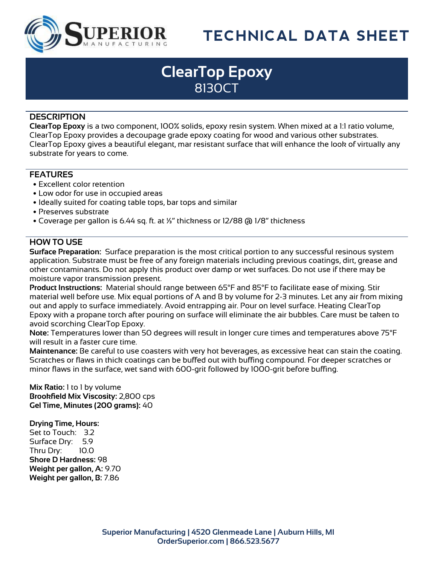

# **TECHNICAL DATA SHEET**

### **ClearTop Epoxy** 8130CT

#### **DESCRIPTION**

**ClearTop Epoxy** is a two component, 100% solids, epoxy resin system. When mixed at a 1:1 ratio volume, ClearTop Epoxy provides a decoupage grade epoxy coating for wood and various other substrates. ClearTop Epoxy gives a beautiful elegant, mar resistant surface that will enhance the look of virtually any substrate for years to come.

#### **FEATURES**

- Excellent color retention
- Low odor for use in occupied areas
- Ideally suited for coating table tops, bar tops and similar
- Preserves substrate
- Coverage per gallon is 6.44 sq. ft. at ¼" thickness or 12/88 @ 1/8" thickness

#### **HOW TO USE**

**Surface Preparation:** Surface preparation is the most critical portion to any successful resinous system application. Substrate must be free of any foreign materials including previous coatings, dirt, grease and other contaminants. Do not apply this product over damp or wet surfaces. Do not use if there may be moisture vapor transmission present.

**Product Instructions:** Material should range between 65°F and 85°F to facilitate ease of mixing. Stir material well before use. Mix equal portions of A and B by volume for 2-3 minutes. Let any air from mixing out and apply to surface immediately. Avoid entrapping air. Pour on level surface. Heating ClearTop Epoxy with a propane torch after pouring on surface will eliminate the air bubbles. Care must be taken to avoid scorching ClearTop Epoxy.

**Note:** Temperatures lower than 50 degrees will result in longer cure times and temperatures above 75°F will result in a faster cure time.

**Maintenance:** Be careful to use coasters with very hot beverages, as excessive heat can stain the coating. Scratches or flaws in thick coatings can be buffed out with buffing compound. For deeper scratches or minor flaws in the surface, wet sand with 600-grit followed by 1000-grit before buffing.

**Mix Ratio:** 1 to 1 by volume **Brookfield Mix Viscosity:** 2,800 cps **Gel Time, Minutes (200 grams):** 40

**Drying Time, Hours:**

Set to Touch: 3.2 Surface Dry: 5.9 Thru Dry: 10.0 **Shore D Hardness:** 98 **Weight per gallon, A:** 9.70 **Weight per gallon, B:** 7.86